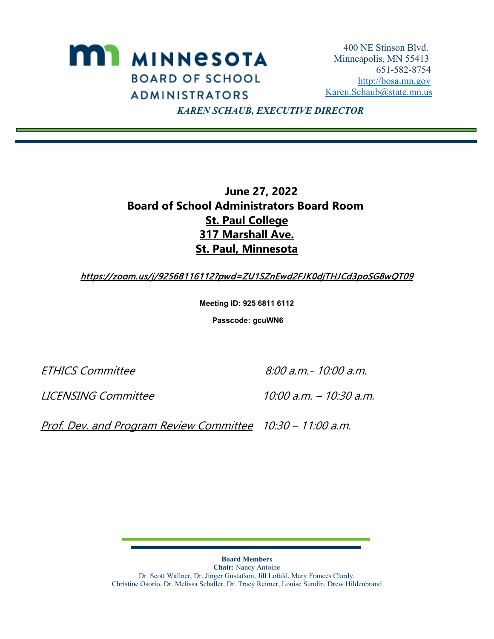

 *KAREN SCHAUB, EXECUTIVE DIRECTOR*

## **June 27, 2022 Board of School Administrators Board Room St. Paul College 317 Marshall Ave. St. Paul, Minnesota**

https://zoom.us/j/92568116112?pwd=ZU1SZnEwd2FJK0djTHJCd3poSG8wQT09

**Meeting ID: 925 6811 6112**

**Passcode: gcuWN6**

ETHICS Committee 8:00 a.m. - 10:00 a.m.

LICENSING Committee 10:00 a.m. – 10:30 a.m.

Prof. Dev. and Program Review Committee 10:30 - 11:00 a.m.

**Board Members Chair:** Nancy Antoine Dr. Scott Wallner, Dr. Jinger Gustafson, Jill Lofald, Mary Frances Clardy, Christine Osorio, Dr. Melissa Schaller, Dr. Tracy Reimer, Louise Sundin, Drew Hildenbrand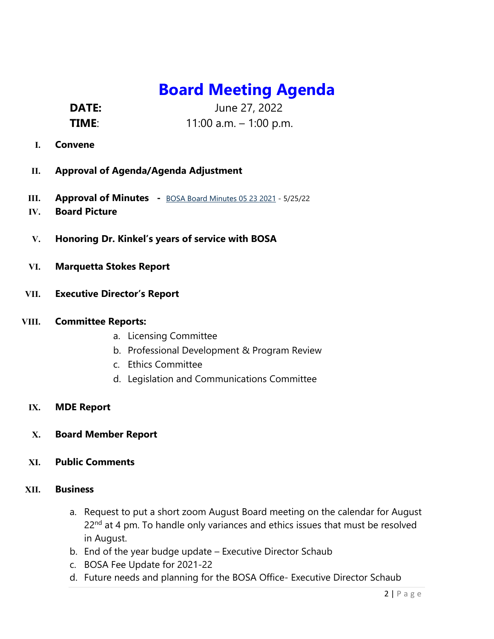## **Board Meeting Agenda**

**DATE:** June 27, 2022

**TIME**: 11:00 a.m. – 1:00 p.m.

- **I. Convene**
- **II. Approval of Agenda/Agenda Adjustment**
- **III. Approval of Minutes** [BOSA Board Minutes 05 23 2021 -](https://bosa.mn.gov/cs/idcplg?IdcService=GET_FILE&dDocName=020663&RevisionSelectionMethod=latestReleased&Rendition=primary) 5/25/22
- **IV. Board Picture**
- **V. Honoring Dr. Kinkel's years of service with BOSA**
- **VI. Marquetta Stokes Report**
- **VII. Executive Director's Report**
- **VIII. Committee Reports:**
	- a. Licensing Committee
	- b. Professional Development & Program Review
	- c. Ethics Committee
	- d. Legislation and Communications Committee
	- **IX. MDE Report**
	- **X. Board Member Report**
	- **XI. Public Comments**

## **XII. Business**

- a. Request to put a short zoom August Board meeting on the calendar for August 22<sup>nd</sup> at 4 pm. To handle only variances and ethics issues that must be resolved in August.
- b. End of the year budge update Executive Director Schaub
- c. BOSA Fee Update for 2021-22
- d. Future needs and planning for the BOSA Office- Executive Director Schaub